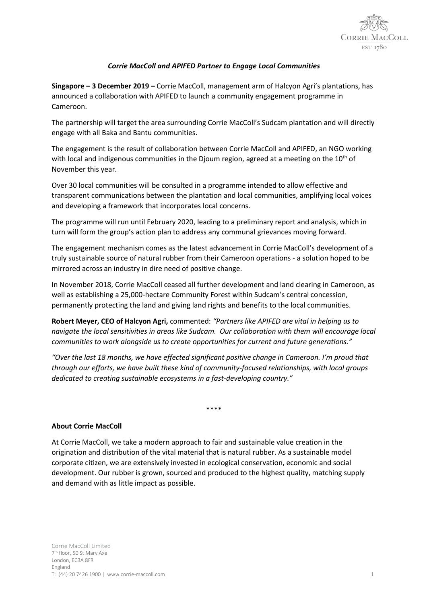

## *Corrie MacColl and APIFED Partner to Engage Local Communities*

**Singapore – 3 December 2019 –** Corrie MacColl, management arm of Halcyon Agri's plantations, has announced a collaboration with APIFED to launch a community engagement programme in Cameroon.

The partnership will target the area surrounding Corrie MacColl's Sudcam plantation and will directly engage with all Baka and Bantu communities.

The engagement is the result of collaboration between Corrie MacColl and APIFED, an NGO working with local and indigenous communities in the Djoum region, agreed at a meeting on the  $10<sup>th</sup>$  of November this year.

Over 30 local communities will be consulted in a programme intended to allow effective and transparent communications between the plantation and local communities, amplifying local voices and developing a framework that incorporates local concerns.

The programme will run until February 2020, leading to a preliminary report and analysis, which in turn will form the group's action plan to address any communal grievances moving forward.

The engagement mechanism comes as the latest advancement in Corrie MacColl's development of a truly sustainable source of natural rubber from their Cameroon operations - a solution hoped to be mirrored across an industry in dire need of positive change.

In November 2018, Corrie MacColl ceased all further development and land clearing in Cameroon, as well as establishing a 25,000-hectare Community Forest within Sudcam's central concession, permanently protecting the land and giving land rights and benefits to the local communities.

**Robert Meyer, CEO of Halcyon Agri,** commented: *"Partners like APIFED are vital in helping us to navigate the local sensitivities in areas like Sudcam. Our collaboration with them will encourage local communities to work alongside us to create opportunities for current and future generations."*

*"Over the last 18 months, we have effected significant positive change in Cameroon. I'm proud that through our efforts, we have built these kind of community-focused relationships, with local groups dedicated to creating sustainable ecosystems in a fast-developing country."*

\*\*\*\*

## **About Corrie MacColl**

At Corrie MacColl, we take a modern approach to fair and sustainable value creation in the origination and distribution of the vital material that is natural rubber. As a sustainable model corporate citizen, we are extensively invested in ecological conservation, economic and social development. Our rubber is grown, sourced and produced to the highest quality, matching supply and demand with as little impact as possible.